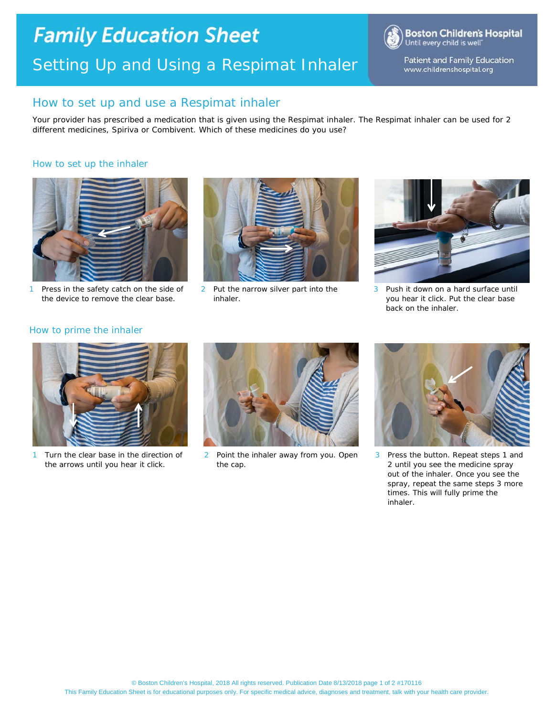# **Family Education Sheet** Setting Up and Using a Respimat Inhaler

**Boston Children's Hospital**<br>Until every child is well<sup>-</sup>

**Patient and Family Education** www.childrenshospital.org

## How to set up and use a Respimat inhaler

Your provider has prescribed a medication that is given using the Respimat inhaler. The Respimat inhaler can be used for 2 different medicines, Spiriva or Combivent. Which of these medicines do you use?

#### How to set up the inhaler



1 Press in the safety catch on the side of the device to remove the clear base.



2 Put the narrow silver part into the inhaler.



3 Push it down on a hard surface until you hear it click. Put the clear base back on the inhaler.

### How to prime the inhaler



1 Turn the clear base in the direction of the arrows until you hear it click.



2 Point the inhaler away from you. Open the cap.



3 Press the button. Repeat steps 1 and 2 until you see the medicine spray out of the inhaler. Once you see the spray, repeat the same steps 3 more times. This will fully prime the inhaler.